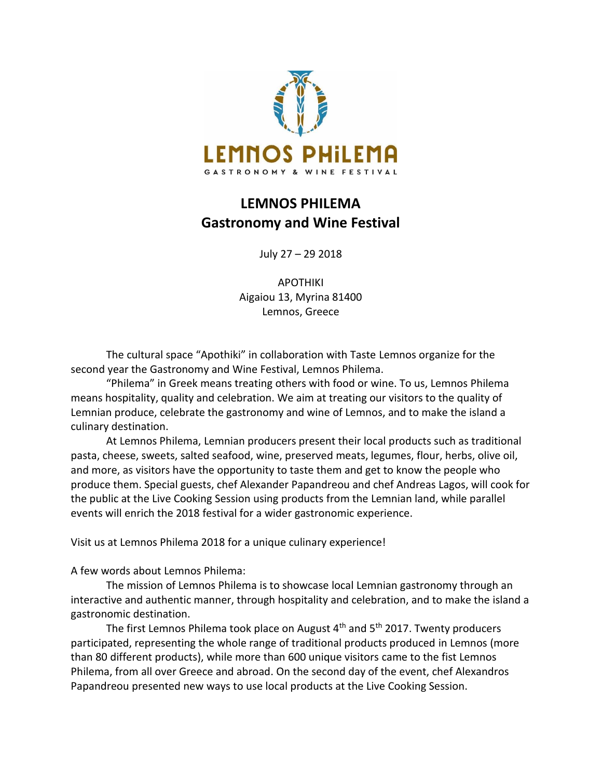

## **LEMNOS PHILEMA Gastronomy and Wine Festival**

July 27 – 29 2018

APOTHIKI Aigaiou 13, Myrina 81400 Lemnos, Greece

The cultural space "Apothiki" in collaboration with Taste Lemnos organize for the second year the Gastronomy and Wine Festival, Lemnos Philema.

"Philema" in Greek means treating others with food or wine. To us, Lemnos Philema means hospitality, quality and celebration. We aim at treating our visitors to the quality of Lemnian produce, celebrate the gastronomy and wine of Lemnos, and to make the island a culinary destination.

At Lemnos Philema, Lemnian producers present their local products such as traditional pasta, cheese, sweets, salted seafood, wine, preserved meats, legumes, flour, herbs, olive oil, and more, as visitors have the opportunity to taste them and get to know the people who produce them. Special guests, chef Alexander Papandreou and chef Andreas Lagos, will cook for the public at the Live Cooking Session using products from the Lemnian land, while parallel events will enrich the 2018 festival for a wider gastronomic experience.

Visit us at Lemnos Philema 2018 for a unique culinary experience!

A few words about Lemnos Philema:

The mission of Lemnos Philema is to showcase local Lemnian gastronomy through an interactive and authentic manner, through hospitality and celebration, and to make the island a gastronomic destination.

The first Lemnos Philema took place on August  $4<sup>th</sup>$  and  $5<sup>th</sup>$  2017. Twenty producers participated, representing the whole range of traditional products produced in Lemnos (more than 80 different products), while more than 600 unique visitors came to the fist Lemnos Philema, from all over Greece and abroad. On the second day of the event, chef Alexandros Papandreou presented new ways to use local products at the Live Cooking Session.